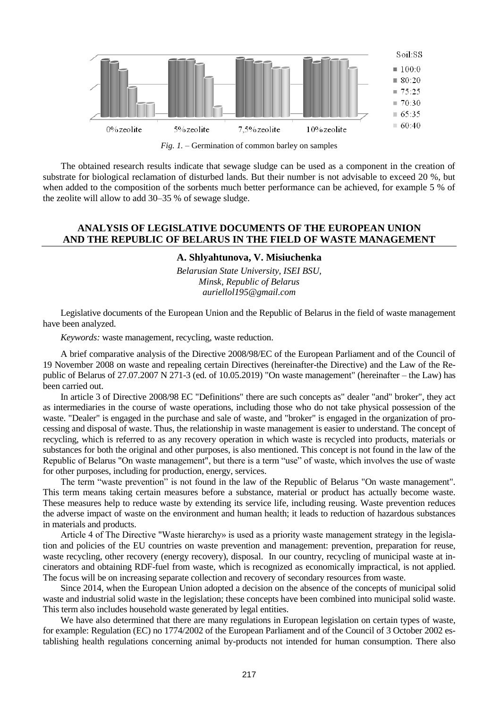

*Fig. 1. –* Germination of common barley on samples

The obtained research results indicate that sewage sludge can be used as a component in the creation of substrate for biological reclamation of disturbed lands. But their number is not advisable to exceed 20 %, but when added to the composition of the sorbents much better performance can be achieved, for example 5 % of the zeolite will allow to add 30–35 % of sewage sludge.

## **ANALYSIS OF LEGISLATIVE DOCUMENTS OF THE EUROPEAN UNION AND THE REPUBLIC OF BELARUS IN THE FIELD OF WASTE MANAGEMENT**

## **A. Shlyahtunova, V. Misiuchenka**

*Belarusian State University, ISEI BSU, Minsk, Republic of Belarus auriellol195@gmail.com*

Legislative documents of the European Union and the Republic of Belarus in the field of waste management have been analyzed.

*Keywords:* waste management, recycling, waste reduction.

A brief comparative analysis of the Directive 2008/98/EC of the European Parliament and of the Council of 19 November 2008 on waste and repealing certain Directives (hereinafter-the Directive) and the Law of the Republic of Belarus of 27.07.2007 N 271-3 (ed. of 10.05.2019) "On waste management" (hereinafter – the Law) has been carried out.

In article 3 of Directive 2008/98 EC "Definitions" there are such concepts as" dealer "and" broker", they act as intermediaries in the course of waste operations, including those who do not take physical possession of the waste. "Dealer" is engaged in the purchase and sale of waste, and "broker" is engaged in the organization of processing and disposal of waste. Thus, the relationship in waste management is easier to understand. The concept of recycling, which is referred to as any recovery operation in which waste is recycled into products, materials or substances for both the original and other purposes, is also mentioned. This concept is not found in the law of the Republic of Belarus "On waste management", but there is a term "use" of waste, which involves the use of waste for other purposes, including for production, energy, services.

The term "waste prevention" is not found in the law of the Republic of Belarus "On waste management". This term means taking certain measures before a substance, material or product has actually become waste. These measures help to reduce waste by extending its service life, including reusing. Waste prevention reduces the adverse impact of waste on the environment and human health; it leads to reduction of hazardous substances in materials and products.

Article 4 of The Directive "Waste hierarchy» is used as a priority waste management strategy in the legislation and policies of the EU countries on waste prevention and management: prevention, preparation for reuse, waste recycling, other recovery (energy recovery), disposal. In our country, recycling of municipal waste at incinerators and obtaining RDF-fuel from waste, which is recognized as economically impractical, is not applied. The focus will be on increasing separate collection and recovery of secondary resources from waste.

Since 2014, when the European Union adopted a decision on the absence of the concepts of municipal solid waste and industrial solid waste in the legislation; these concepts have been combined into municipal solid waste. This term also includes household waste generated by legal entities.

We have also determined that there are many regulations in European legislation on certain types of waste, for example: Regulation (EC) no 1774/2002 of the European Parliament and of the Council of 3 October 2002 establishing health regulations concerning animal by-products not intended for human consumption. There also